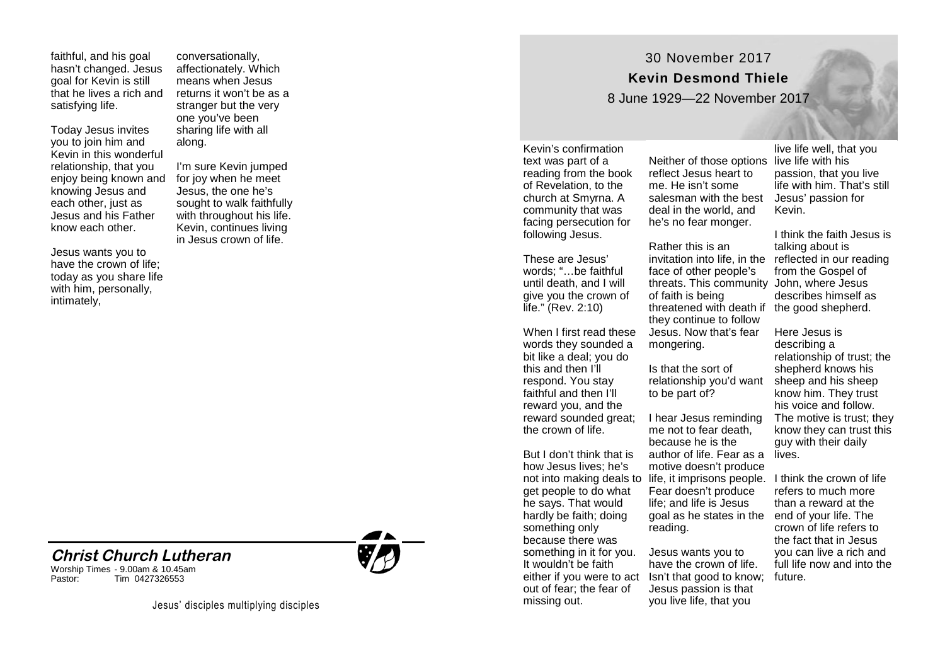faithful, and his goal hasn 't changed. Jesus goal for Kevin is still that he lives a rich and satisfying life.

Today Jesus invites you to join him and Kevin in this wonderful relationship, that you enjoy being known and knowing Jesus and each other, just as Jesus and his Father know each other.

Jesus wants you to have the crown of life; today as you share life with him, personally, intimately,

conversationally, affectionately. Which means when Jesus returns it won 't be as a stranger but the very one you 've been sharing life with all along.

I'm sure Kevin jumped for joy when he meet Jesus, the one he ' s sought to walk faithfully with throughout his life. Kevin, continues living in Jesus crown of life.



Worship Times - 9.00am & 10.45am Pastor: Tim 0427326553



## 30 November 2017 **Kevin Desmond Thiele**

8 June 1929 —22 November 2017

Kevin 's confirmation text was part of a reading from the book of Revelation, to the church at Smyrna. A community that was facing persecution for following Jesus.

These are Jesus ' words; "…be faithful until death, and I will give you the crown of life. " (Rev. 2:10)

When I first read these words they sounded a bit like a deal; you do this and then I 'll respond. You stay faithful and then I 'll reward you, and the reward sounded great; the crown of life.

But I don 't think that is how Jesus lives; he ' s get people to do what he says. That would hardly be faith; doing something only because there was something in it for you. It wouldn 't be faith out of fear; the fear of missing out.

Neither of those options live life with his reflect Jesus heart to me. He isn 't some salesman with the best deal in the world, and he 's no fear monger.

Rather this is an invitation into life, in the reflected in our reading face of other people's threats. This community John, where Jesus of faith is being threatened with death if the good shepherd. they continue to follow Jesus. Now that 's fear mongering.

Is that the sort of relationship you 'd want to be part of?

not into making deals to life, it imprisons people. I think the crown of life I hear Jesus reminding me not to fear death, because he is the author of life. Fear as a motive doesn 't produce Fear doesn 't produce life; and life is Jesus goal as he states in the end of your life. The reading.

either if you were to act Isn't that good to know; future. Jesus wants you to have the crown of life. Jesus passion is that you live life, that you

live life well, that you passion, that you live life with him. That 's still Jesus ' passion for Kevin.

I think the faith Jesus is talking about is from the Gospel of describes himself as

Here Jesus is describing a relationship of trust; the shepherd knows his sheep and his sheep know him. They trust his voice and follow. The motive is trust; they know they can trust this guy with their daily lives.

refers to much more than a reward at the crown of life refers to the fact that in Jesus you can live a rich and full life now and into the

Jesus' disciples multiplying disciples